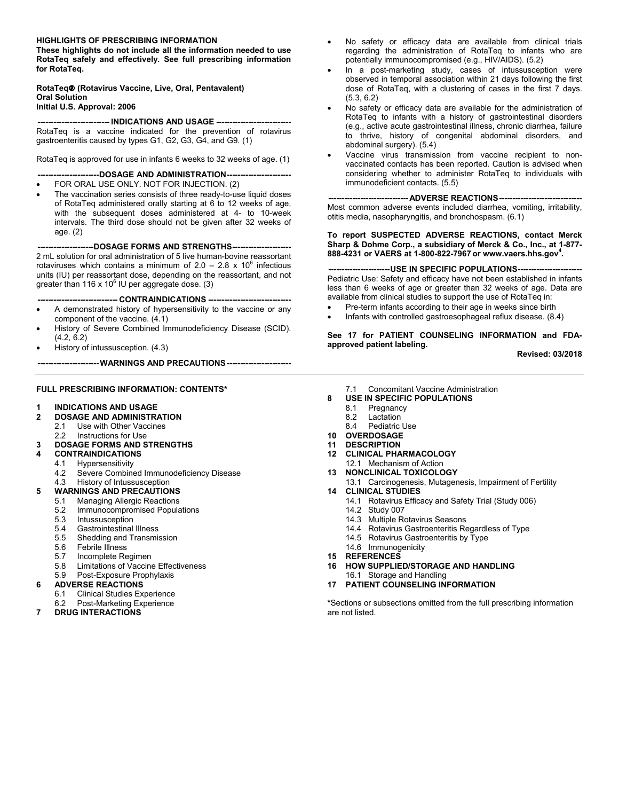#### **HIGHLIGHTS OF PRESCRIBING INFORMATION**

**These highlights do not include all the information needed to use RotaTeq safely and effectively. See full prescribing information for RotaTeq.**

#### **RotaTeq (Rotavirus Vaccine, Live, Oral, Pentavalent) Oral Solution Initial U.S. Approval: 2006**

**--------------------------- INDICATIONS AND USAGE ----------------------------**

RotaTeq is a vaccine indicated for the prevention of rotavirus gastroenteritis caused by types G1, G2, G3, G4, and G9. (1)

RotaTeq is approved for use in infants 6 weeks to 32 weeks of age. (1)

**-----------------------DOSAGE AND ADMINISTRATION------------------------**

- FOR ORAL USE ONLY. NOT FOR INJECTION. (2)
- The vaccination series consists of three ready-to-use liquid doses of RotaTeq administered orally starting at 6 to 12 weeks of age, with the subsequent doses administered at 4- to 10-week intervals. The third dose should not be given after 32 weeks of age. (2)

**---------------------DOSAGE FORMS AND STRENGTHS----------------------** 2 mL solution for oral administration of 5 live human-bovine reassortant rotaviruses which contains a minimum of 2.0 – 2.8 x 10 $^6$  infectious units (IU) per reassortant dose, depending on the reassortant, and not greater than 116 x 10 $^6$  IU per aggregate dose. (3)

**------------------------------ CONTRAINDICATIONS -------------------------------**

- A demonstrated history of hypersensitivity to the vaccine or any component of the vaccine. (4.1)
- History of Severe Combined Immunodeficiency Disease (SCID). (4.2, 6.2)
- History of intussusception. (4.3)

**-----------------------WARNINGS AND PRECAUTIONS------------------------**

#### **FULL PRESCRIBING INFORMATION: CONTENTS\***

#### **1 INDICATIONS AND USAGE**

- **2 DOSAGE AND ADMINISTRATION**
- 2.1 Use with Other Vaccines
- 2.2 Instructions for Use
- **3 DOSAGE FORMS AND STRENGTHS**

#### **4 CONTRAINDICATIONS**

- 4.1 Hypersensitivity<br>4.2 Severe Combine
- Severe Combined Immunodeficiency Disease
- 4.3 History of Intussusception
- **5 WARNINGS AND PRECAUTIONS**
	- 5.1 Managing Allergic Reactions<br>5.2 Immunocompromised Popula
	- Immunocompromised Populations
	- 5.3 Intussusception
	- 5.4 Gastrointestinal Illness
	- 5.5 Shedding and Transmission
	- 5.6 Febrile Illness
	- 5.7 Incomplete Regimen
	- 5.8 Limitations of Vaccine Effectiveness
	- 5.9 Post-Exposure Prophylaxis
- **6 ADVERSE REACTIONS**
	-
	- 6.1 Clinical Studies Experience<br>6.2 Post-Marketing Experience Post-Marketing Experience
- **7 DRUG INTERACTIONS**
- No safety or efficacy data are available from clinical trials regarding the administration of RotaTeq to infants who are potentially immunocompromised (e.g., HIV/AIDS). (5.2)
- In a post-marketing study, cases of intussusception were observed in temporal association within 21 days following the first dose of RotaTeq, with a clustering of cases in the first 7 days. (5.3, 6.2)
- No safety or efficacy data are available for the administration of RotaTeq to infants with a history of gastrointestinal disorders (e.g., active acute gastrointestinal illness, chronic diarrhea, failure to thrive, history of congenital abdominal disorders, and abdominal surgery). (5.4)
- Vaccine virus transmission from vaccine recipient to nonvaccinated contacts has been reported. Caution is advised when considering whether to administer RotaTeq to individuals with immunodeficient contacts. (5.5)

**------------------------------ADVERSE REACTIONS-------------------------------** Most common adverse events included diarrhea, vomiting, irritability, otitis media, nasopharyngitis, and bronchospasm. (6.1)

**To report SUSPECTED ADVERSE REACTIONS, contact Merck Sharp & Dohme Corp., a subsidiary of Merck & Co., Inc., at 1-877- 888-4231 or VAERS at 1-800-822-7967 or www.vaers.hhs.gov<sup>4</sup> .**

#### **-----------------------USE IN SPECIFIC POPULATIONS------------------------**

Pediatric Use: Safety and efficacy have not been established in infants less than 6 weeks of age or greater than 32 weeks of age. Data are available from clinical studies to support the use of RotaTeq in:

- Pre-term infants according to their age in weeks since birth
- Infants with controlled gastroesophageal reflux disease. (8.4)

**See 17 for PATIENT COUNSELING INFORMATION and FDAapproved patient labeling.**

**Revised: 03/2018**

- 7.1 Concomitant Vaccine Administration
- **8 USE IN SPECIFIC POPULATIONS**
	- 8.1 Pregnancy
	- 8.2 Lactation
	- 8.4 Pediatric Use
- **10 OVERDOSAGE**
- **11 DESCRIPTION**
- **12 CLINICAL PHARMACOLOGY** 12.1 Mechanism of Action
- **13 NONCLINICAL TOXICOLOGY**
- 13.1 Carcinogenesis, Mutagenesis, Impairment of Fertility **14 CLINICAL STUDIES**
	- - 14.1 Rotavirus Efficacy and Safety Trial (Study 006)
		- 14.2 Study 007
		- 14.3 Multiple Rotavirus Seasons
		- 14.4 Rotavirus Gastroenteritis Regardless of Type
		- 14.5 Rotavirus Gastroenteritis by Type
- 14.6 Immunogenicity
- **15 REFERENCES**
- **16 HOW SUPPLIED/STORAGE AND HANDLING**
- 16.1 Storage and Handling
- **17 PATIENT COUNSELING INFORMATION**

**\***Sections or subsections omitted from the full prescribing information are not listed.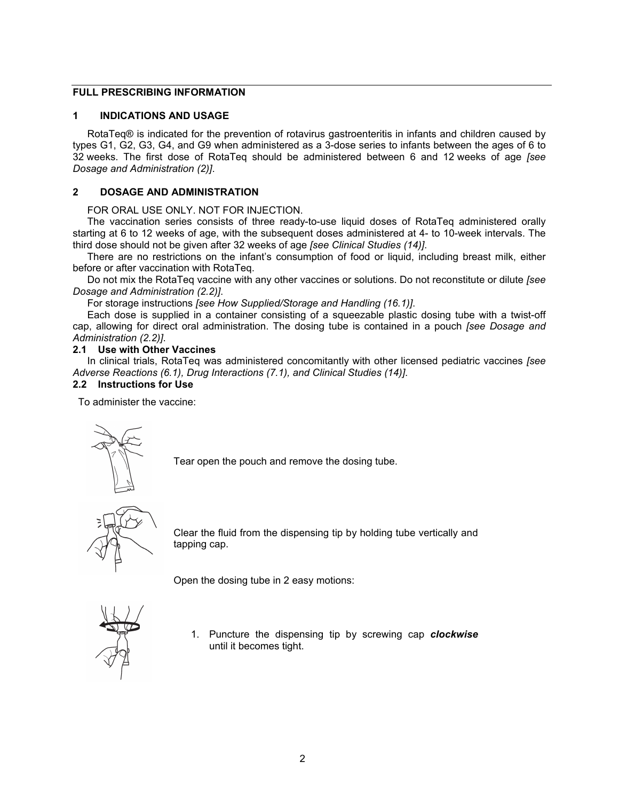# **FULL PRESCRIBING INFORMATION**

# **1 INDICATIONS AND USAGE**

RotaTeq® is indicated for the prevention of rotavirus gastroenteritis in infants and children caused by types G1, G2, G3, G4, and G9 when administered as a 3-dose series to infants between the ages of 6 to 32 weeks. The first dose of RotaTeq should be administered between 6 and 12 weeks of age *[see Dosage and Administration (2)]*.

# **2 DOSAGE AND ADMINISTRATION**

FOR ORAL USE ONLY. NOT FOR INJECTION.

The vaccination series consists of three ready-to-use liquid doses of RotaTeq administered orally starting at 6 to 12 weeks of age, with the subsequent doses administered at 4- to 10-week intervals. The third dose should not be given after 32 weeks of age *[see Clinical Studies (14)]*.

There are no restrictions on the infant's consumption of food or liquid, including breast milk, either before or after vaccination with RotaTeq.

Do not mix the RotaTeq vaccine with any other vaccines or solutions. Do not reconstitute or dilute *[see Dosage and Administration (2.2)]*.

For storage instructions *[see How Supplied/Storage and Handling (16.1)]*.

Each dose is supplied in a container consisting of a squeezable plastic dosing tube with a twist-off cap, allowing for direct oral administration. The dosing tube is contained in a pouch *[see Dosage and Administration (2.2)]*.

# **2.1 Use with Other Vaccines**

In clinical trials, RotaTeq was administered concomitantly with other licensed pediatric vaccines *[see Adverse Reactions (6.1), Drug Interactions (7.1), and Clinical Studies (14)]*.

# **2.2 Instructions for Use**

To administer the vaccine:



Tear open the pouch and remove the dosing tube.



Clear the fluid from the dispensing tip by holding tube vertically and tapping cap.

Open the dosing tube in 2 easy motions:



1. Puncture the dispensing tip by screwing cap *clockwise* until it becomes tight.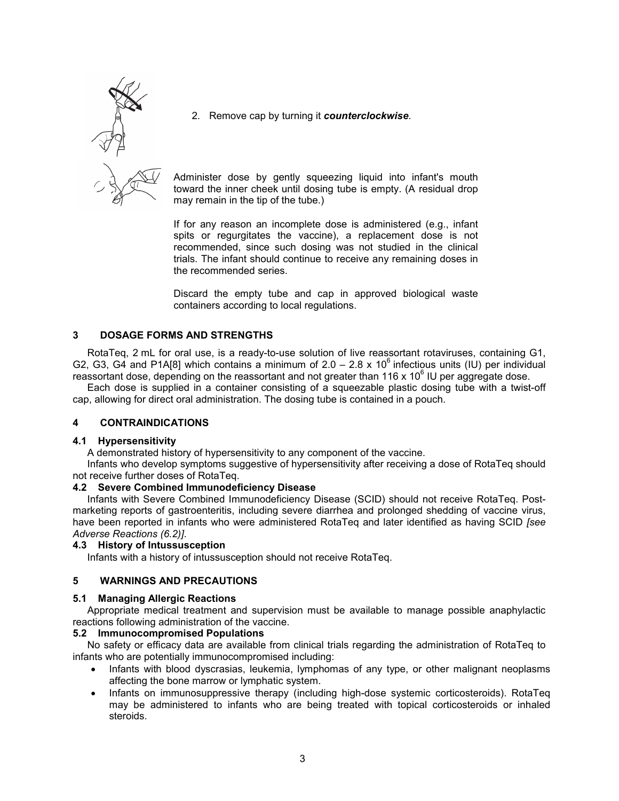

2. Remove cap by turning it *counterclockwise*.

Administer dose by gently squeezing liquid into infant's mouth toward the inner cheek until dosing tube is empty. (A residual drop may remain in the tip of the tube.)

If for any reason an incomplete dose is administered (e.g., infant spits or regurgitates the vaccine), a replacement dose is not recommended, since such dosing was not studied in the clinical trials. The infant should continue to receive any remaining doses in the recommended series.

Discard the empty tube and cap in approved biological waste containers according to local regulations.

# **3 DOSAGE FORMS AND STRENGTHS**

RotaTeq, 2 mL for oral use, is a ready-to-use solution of live reassortant rotaviruses, containing G1, G2, G3, G4 and P1A[8] which contains a minimum of  $2.0 - 2.8 \times 10^6$  infectious units (IU) per individual reassortant dose, depending on the reassortant and not greater than 116 x 10 $^{\circ}$  IU per aggregate dose.

Each dose is supplied in a container consisting of a squeezable plastic dosing tube with a twist-off cap, allowing for direct oral administration. The dosing tube is contained in a pouch.

# **4 CONTRAINDICATIONS**

## **4.1 Hypersensitivity**

A demonstrated history of hypersensitivity to any component of the vaccine.

Infants who develop symptoms suggestive of hypersensitivity after receiving a dose of RotaTeq should not receive further doses of RotaTeq.

## **4.2 Severe Combined Immunodeficiency Disease**

Infants with Severe Combined Immunodeficiency Disease (SCID) should not receive RotaTeq. Postmarketing reports of gastroenteritis, including severe diarrhea and prolonged shedding of vaccine virus, have been reported in infants who were administered RotaTeq and later identified as having SCID *[see Adverse Reactions (6.2)]*.

## **4.3 History of Intussusception**

Infants with a history of intussusception should not receive RotaTeq.

# **5 WARNINGS AND PRECAUTIONS**

# **5.1 Managing Allergic Reactions**

Appropriate medical treatment and supervision must be available to manage possible anaphylactic reactions following administration of the vaccine.

# **5.2 Immunocompromised Populations**

No safety or efficacy data are available from clinical trials regarding the administration of RotaTeq to infants who are potentially immunocompromised including:

- Infants with blood dyscrasias, leukemia, lymphomas of any type, or other malignant neoplasms affecting the bone marrow or lymphatic system.
- Infants on immunosuppressive therapy (including high-dose systemic corticosteroids). RotaTeg may be administered to infants who are being treated with topical corticosteroids or inhaled steroids.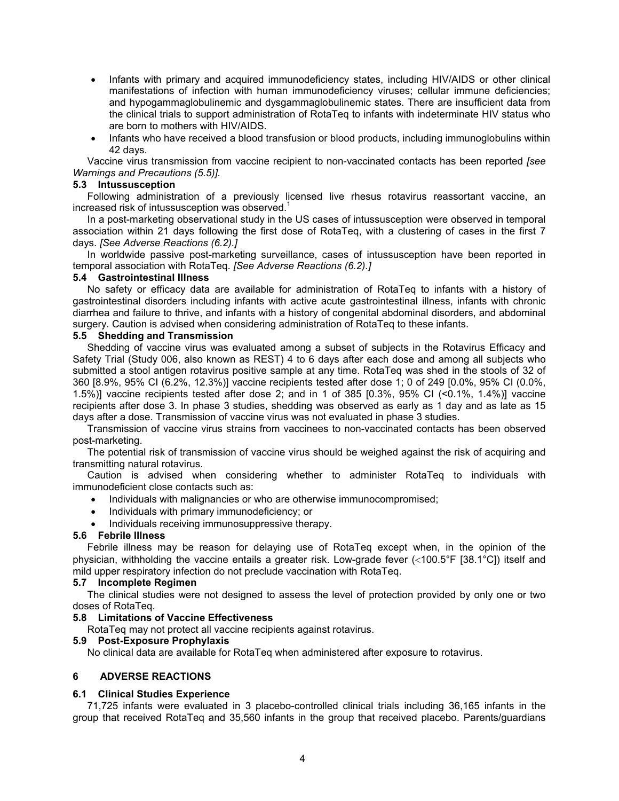- Infants with primary and acquired immunodeficiency states, including HIV/AIDS or other clinical manifestations of infection with human immunodeficiency viruses; cellular immune deficiencies; and hypogammaglobulinemic and dysgammaglobulinemic states. There are insufficient data from the clinical trials to support administration of RotaTeq to infants with indeterminate HIV status who are born to mothers with HIV/AIDS.
- Infants who have received a blood transfusion or blood products, including immunoglobulins within 42 days.

Vaccine virus transmission from vaccine recipient to non-vaccinated contacts has been reported *[see Warnings and Precautions (5.5)].*

### **5.3 Intussusception**

Following administration of a previously licensed live rhesus rotavirus reassortant vaccine, an increased risk of intussusception was observed.<sup>1</sup>

In a post-marketing observational study in the US cases of intussusception were observed in temporal association within 21 days following the first dose of RotaTeq, with a clustering of cases in the first 7 days. *[See Adverse Reactions (6.2).]*

In worldwide passive post-marketing surveillance, cases of intussusception have been reported in temporal association with RotaTeq. *[See Adverse Reactions (6.2).]*

### **5.4 Gastrointestinal Illness**

No safety or efficacy data are available for administration of RotaTeq to infants with a history of gastrointestinal disorders including infants with active acute gastrointestinal illness, infants with chronic diarrhea and failure to thrive, and infants with a history of congenital abdominal disorders, and abdominal surgery. Caution is advised when considering administration of RotaTeq to these infants.

# **5.5 Shedding and Transmission**

Shedding of vaccine virus was evaluated among a subset of subjects in the Rotavirus Efficacy and Safety Trial (Study 006, also known as REST) 4 to 6 days after each dose and among all subjects who submitted a stool antigen rotavirus positive sample at any time. RotaTeq was shed in the stools of 32 of 360 [8.9%, 95% CI (6.2%, 12.3%)] vaccine recipients tested after dose 1; 0 of 249 [0.0%, 95% CI (0.0%, 1.5%)] vaccine recipients tested after dose 2; and in 1 of 385 [0.3%, 95% CI (<0.1%, 1.4%)] vaccine recipients after dose 3. In phase 3 studies, shedding was observed as early as 1 day and as late as 15 days after a dose. Transmission of vaccine virus was not evaluated in phase 3 studies.

Transmission of vaccine virus strains from vaccinees to non-vaccinated contacts has been observed post-marketing.

The potential risk of transmission of vaccine virus should be weighed against the risk of acquiring and transmitting natural rotavirus.

Caution is advised when considering whether to administer RotaTeq to individuals with immunodeficient close contacts such as:

- Individuals with malignancies or who are otherwise immunocompromised;
- Individuals with primary immunodeficiency; or
- Individuals receiving immunosuppressive therapy.

# **5.6 Febrile Illness**

Febrile illness may be reason for delaying use of RotaTeq except when, in the opinion of the physician, withholding the vaccine entails a greater risk. Low-grade fever  $\langle$ <100.5°F [38.1°C]) itself and mild upper respiratory infection do not preclude vaccination with RotaTeq.

## **5.7 Incomplete Regimen**

The clinical studies were not designed to assess the level of protection provided by only one or two doses of RotaTeq.

## **5.8 Limitations of Vaccine Effectiveness**

RotaTeq may not protect all vaccine recipients against rotavirus.

## **5.9 Post-Exposure Prophylaxis**

No clinical data are available for RotaTeq when administered after exposure to rotavirus.

#### **6 ADVERSE REACTIONS**

#### **6.1 Clinical Studies Experience**

71,725 infants were evaluated in 3 placebo-controlled clinical trials including 36,165 infants in the group that received RotaTeq and 35,560 infants in the group that received placebo. Parents/guardians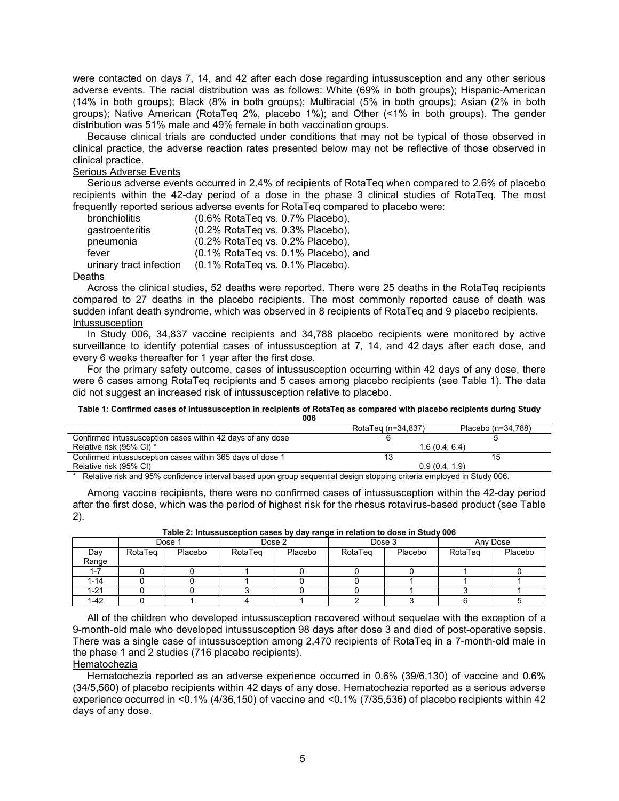were contacted on days 7, 14, and 42 after each dose regarding intussusception and any other serious adverse events. The racial distribution was as follows: White (69% in both groups); Hispanic-American (14% in both groups); Black (8% in both groups); Multiracial (5% in both groups); Asian (2% in both groups); Native American (RotaTeq 2%, placebo 1%); and Other (<1% in both groups). The gender distribution was 51% male and 49% female in both vaccination groups.

Because clinical trials are conducted under conditions that may not be typical of those observed in clinical practice, the adverse reaction rates presented below may not be reflective of those observed in clinical practice.

## Serious Adverse Events

Serious adverse events occurred in 2.4% of recipients of RotaTeq when compared to 2.6% of placebo recipients within the 42-day period of a dose in the phase 3 clinical studies of RotaTeq. The most frequently reported serious adverse events for RotaTeq compared to placebo were:

| bronchiolitis           | (0.6% RotaTeg vs. 0.7% Placebo),       |
|-------------------------|----------------------------------------|
| gastroenteritis         | (0.2% RotaTeq vs. 0.3% Placebo),       |
| pneumonia               | (0.2% RotaTeg vs. 0.2% Placebo),       |
| fever                   | (0.1% RotaTeq vs. 0.1% Placebo), and   |
| urinary tract infection | $(0.1\%$ RotaTeg vs. $0.1\%$ Placebo). |
|                         |                                        |

# Deaths

Across the clinical studies, 52 deaths were reported. There were 25 deaths in the RotaTeq recipients compared to 27 deaths in the placebo recipients. The most commonly reported cause of death was sudden infant death syndrome, which was observed in 8 recipients of RotaTeq and 9 placebo recipients. Intussusception

In Study 006, 34,837 vaccine recipients and 34,788 placebo recipients were monitored by active surveillance to identify potential cases of intussusception at 7, 14, and 42 days after each dose, and every 6 weeks thereafter for 1 year after the first dose.

For the primary safety outcome, cases of intussusception occurring within 42 days of any dose, there were 6 cases among RotaTeq recipients and 5 cases among placebo recipients (see Table 1). The data did not suggest an increased risk of intussusception relative to placebo.

#### **Table 1: Confirmed cases of intussusception in recipients of RotaTeq as compared with placebo recipients during Study 006**

|                                                            | RotaTeg (n=34,837) | Placebo (n=34.788) |
|------------------------------------------------------------|--------------------|--------------------|
| Confirmed intussusception cases within 42 days of any dose |                    |                    |
| Relative risk (95% CI) *                                   | 1.6(0.4.6.4)       |                    |
| Confirmed intussusception cases within 365 days of dose 1  |                    | 15                 |
| Relative risk (95% CI)                                     | 0.9(0.4.1.9)       |                    |

\* Relative risk and 95% confidence interval based upon group sequential design stopping criteria employed in Study 006.

Among vaccine recipients, there were no confirmed cases of intussusception within the 42-day period after the first dose, which was the period of highest risk for the rhesus rotavirus-based product (see Table 2).

|       |         | Dose 1  | Dose 2  |         | Dose 3  |         |         | Any Dose |
|-------|---------|---------|---------|---------|---------|---------|---------|----------|
| Day   | RotaTeg | Placebo | RotaTeg | Placebo | RotaTeg | Placebo | RotaTeg | Placebo  |
| Range |         |         |         |         |         |         |         |          |
|       |         |         |         |         |         |         |         |          |
| 1-14  |         |         |         |         |         |         |         |          |
| 1-21  |         |         |         |         |         |         |         |          |
| 1-42  |         |         |         |         |         |         |         |          |

**Table 2: Intussusception cases by day range in relation to dose in Study 006**

All of the children who developed intussusception recovered without sequelae with the exception of a 9-month-old male who developed intussusception 98 days after dose 3 and died of post-operative sepsis. There was a single case of intussusception among 2,470 recipients of RotaTeq in a 7-month-old male in the phase 1 and 2 studies (716 placebo recipients).

Hematochezia

Hematochezia reported as an adverse experience occurred in 0.6% (39/6,130) of vaccine and 0.6% (34/5,560) of placebo recipients within 42 days of any dose. Hematochezia reported as a serious adverse experience occurred in <0.1% (4/36,150) of vaccine and <0.1% (7/35,536) of placebo recipients within 42 days of any dose.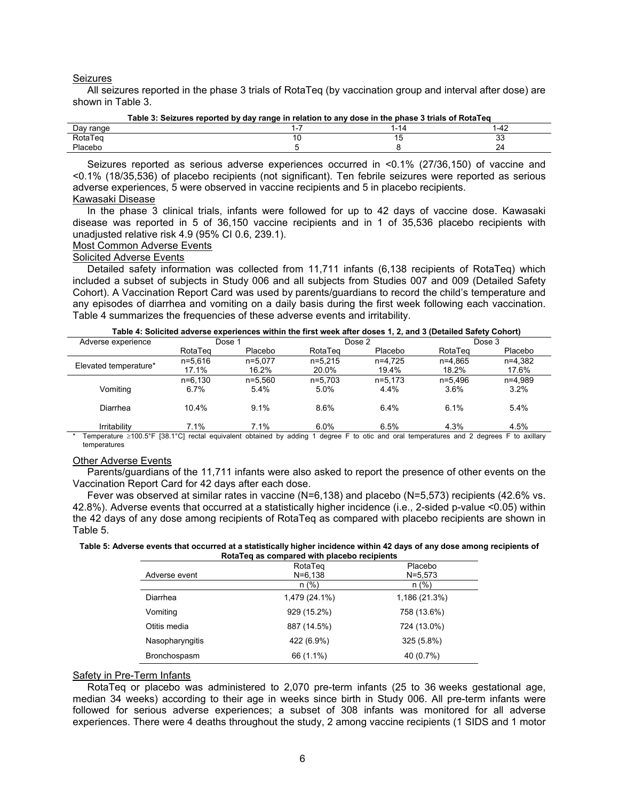#### Seizures

All seizures reported in the phase 3 trials of RotaTeq (by vaccination group and interval after dose) are shown in Table 3.

| Table 3: Seizures reported by day range in relation to any dose in the phase 3 trials of RotaTeg |  |  |     |  |  |
|--------------------------------------------------------------------------------------------------|--|--|-----|--|--|
| Day range                                                                                        |  |  |     |  |  |
| RotaTeg                                                                                          |  |  | ن ن |  |  |
| Placebo                                                                                          |  |  |     |  |  |

Seizures reported as serious adverse experiences occurred in <0.1% (27/36,150) of vaccine and <0.1% (18/35,536) of placebo recipients (not significant). Ten febrile seizures were reported as serious adverse experiences, 5 were observed in vaccine recipients and 5 in placebo recipients. Kawasaki Disease

In the phase 3 clinical trials, infants were followed for up to 42 days of vaccine dose. Kawasaki disease was reported in 5 of 36,150 vaccine recipients and in 1 of 35,536 placebo recipients with unadjusted relative risk 4.9 (95% CI 0.6, 239.1).

# Most Common Adverse Events

## Solicited Adverse Events

Detailed safety information was collected from 11,711 infants (6,138 recipients of RotaTeq) which included a subset of subjects in Study 006 and all subjects from Studies 007 and 009 (Detailed Safety Cohort). A Vaccination Report Card was used by parents/guardians to record the child's temperature and any episodes of diarrhea and vomiting on a daily basis during the first week following each vaccination. Table 4 summarizes the frequencies of these adverse events and irritability.

**Table 4: Solicited adverse experiences within the first week after doses 1, 2, and 3 (Detailed Safety Cohort)**

| Adverse experience    | Dose 1      |             |           | Dose 2    |           | Dose 3    |
|-----------------------|-------------|-------------|-----------|-----------|-----------|-----------|
|                       | RotaTeg     | Placebo     | RotaTeg   | Placebo   | RotaTeg   | Placebo   |
|                       | $n = 5.616$ | $n=5.077$   | $n=5.215$ | $n=4.725$ | n=4.865   | n=4,382   |
| Elevated temperature* | 17.1%       | 16.2%       | 20.0%     | 19.4%     | 18.2%     | 17.6%     |
|                       | $n=6.130$   | $n = 5.560$ | $n=5.703$ | $n=5.173$ | $n=5.496$ | $n=4.989$ |
| Vomiting              | 6.7%        | 5.4%        | 5.0%      | 4.4%      | $3.6\%$   | 3.2%      |
| Diarrhea              | 10.4%       | 9.1%        | 8.6%      | 6.4%      | 6.1%      | 5.4%      |
| Irritability          | 7.1%        | 7.1%        | 6.0%      | 6.5%      | 4.3%      | 4.5%      |

Temperature ≥100.5°F [38.1°C] rectal equivalent obtained by adding 1 degree F to otic and oral temperatures and 2 degrees F to axillary temperatures

#### Other Adverse Events

Parents/guardians of the 11,711 infants were also asked to report the presence of other events on the Vaccination Report Card for 42 days after each dose.

Fever was observed at similar rates in vaccine (N=6,138) and placebo (N=5,573) recipients (42.6% vs. 42.8%). Adverse events that occurred at a statistically higher incidence (i.e., 2-sided p-value <0.05) within the 42 days of any dose among recipients of RotaTeq as compared with placebo recipients are shown in Table 5.

**Table 5: Adverse events that occurred at a statistically higher incidence within 42 days of any dose among recipients of RotaTeq as compared with placebo recipients**

|                 | RotaTeg       | Placebo       |
|-----------------|---------------|---------------|
| Adverse event   | $N = 6,138$   | $N = 5,573$   |
|                 | $n$ (%)       | $n$ (%)       |
| Diarrhea        | 1,479 (24.1%) | 1,186 (21.3%) |
| Vomiting        | 929 (15.2%)   | 758 (13.6%)   |
| Otitis media    | 887 (14.5%)   | 724 (13.0%)   |
| Nasopharyngitis | 422 (6.9%)    | $325(5.8\%)$  |
| Bronchospasm    | 66 (1.1%)     | 40 (0.7%)     |

#### Safety in Pre-Term Infants

RotaTeq or placebo was administered to 2,070 pre-term infants (25 to 36 weeks gestational age, median 34 weeks) according to their age in weeks since birth in Study 006. All pre-term infants were followed for serious adverse experiences; a subset of 308 infants was monitored for all adverse experiences. There were 4 deaths throughout the study, 2 among vaccine recipients (1 SIDS and 1 motor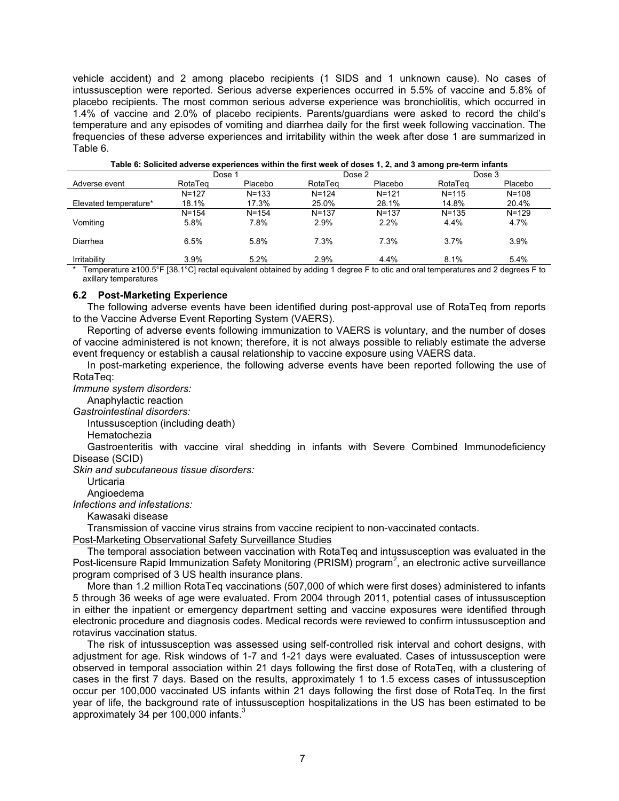vehicle accident) and 2 among placebo recipients (1 SIDS and 1 unknown cause). No cases of intussusception were reported. Serious adverse experiences occurred in 5.5% of vaccine and 5.8% of placebo recipients. The most common serious adverse experience was bronchiolitis, which occurred in 1.4% of vaccine and 2.0% of placebo recipients. Parents/guardians were asked to record the child's temperature and any episodes of vomiting and diarrhea daily for the first week following vaccination. The frequencies of these adverse experiences and irritability within the week after dose 1 are summarized in Table 6.

| rapie of Ochelled adverse experiences within the mot week of doses if z, and o among pre-term miants |           |           |           |           |           |           |
|------------------------------------------------------------------------------------------------------|-----------|-----------|-----------|-----------|-----------|-----------|
|                                                                                                      | Dose 1    |           |           | Dose 2    |           | Dose 3    |
| Adverse event                                                                                        | RotaTeg   | Placebo   | RotaTeg   | Placebo   | RotaTeg   | Placebo   |
|                                                                                                      | $N = 127$ | $N = 133$ | $N = 124$ | $N = 121$ | $N = 115$ | $N = 108$ |
| Elevated temperature*                                                                                | 18.1%     | 17.3%     | 25.0%     | 28.1%     | 14.8%     | 20.4%     |
|                                                                                                      | $N = 154$ | $N = 154$ | $N = 137$ | $N = 137$ | $N = 135$ | $N = 129$ |
| Vomiting                                                                                             | 5.8%      | 7.8%      | 2.9%      | 2.2%      | 4.4%      | 4.7%      |
| Diarrhea                                                                                             | 6.5%      | 5.8%      | 7.3%      | 7.3%      | 3.7%      | 3.9%      |
| Irritability                                                                                         | 3.9%      | 5.2%      | 2.9%      | 4.4%      | 8.1%      | 5.4%      |

**Table 6: Solicited adverse experiences within the first week of doses 1, 2, and 3 among pre-term infants**

\* Temperature ≥100.5°F [38.1°C] rectal equivalent obtained by adding 1 degree F to otic and oral temperatures and 2 degrees F to axillary temperatures

#### **6.2 Post-Marketing Experience**

The following adverse events have been identified during post-approval use of RotaTeq from reports to the Vaccine Adverse Event Reporting System (VAERS).

Reporting of adverse events following immunization to VAERS is voluntary, and the number of doses of vaccine administered is not known; therefore, it is not always possible to reliably estimate the adverse event frequency or establish a causal relationship to vaccine exposure using VAERS data.

In post-marketing experience, the following adverse events have been reported following the use of RotaTeq:

*Immune system disorders:*

Anaphylactic reaction

*Gastrointestinal disorders:*

Intussusception (including death)

Hematochezia

Gastroenteritis with vaccine viral shedding in infants with Severe Combined Immunodeficiency Disease (SCID)

*Skin and subcutaneous tissue disorders:*

Urticaria

Angioedema

*Infections and infestations:*

Kawasaki disease

Transmission of vaccine virus strains from vaccine recipient to non-vaccinated contacts.

Post-Marketing Observational Safety Surveillance Studies

The temporal association between vaccination with RotaTeq and intussusception was evaluated in the Post-licensure Rapid Immunization Safety Monitoring (PRISM) program<sup>2</sup>, an electronic active surveillance program comprised of 3 US health insurance plans.

More than 1.2 million RotaTeq vaccinations (507,000 of which were first doses) administered to infants 5 through 36 weeks of age were evaluated. From 2004 through 2011, potential cases of intussusception in either the inpatient or emergency department setting and vaccine exposures were identified through electronic procedure and diagnosis codes. Medical records were reviewed to confirm intussusception and rotavirus vaccination status.

The risk of intussusception was assessed using self-controlled risk interval and cohort designs, with adjustment for age. Risk windows of 1-7 and 1-21 days were evaluated. Cases of intussusception were observed in temporal association within 21 days following the first dose of RotaTeq, with a clustering of cases in the first 7 days. Based on the results, approximately 1 to 1.5 excess cases of intussusception occur per 100,000 vaccinated US infants within 21 days following the first dose of RotaTeq. In the first year of life, the background rate of intussusception hospitalizations in the US has been estimated to be approximately 34 per 100,000 infants. $3$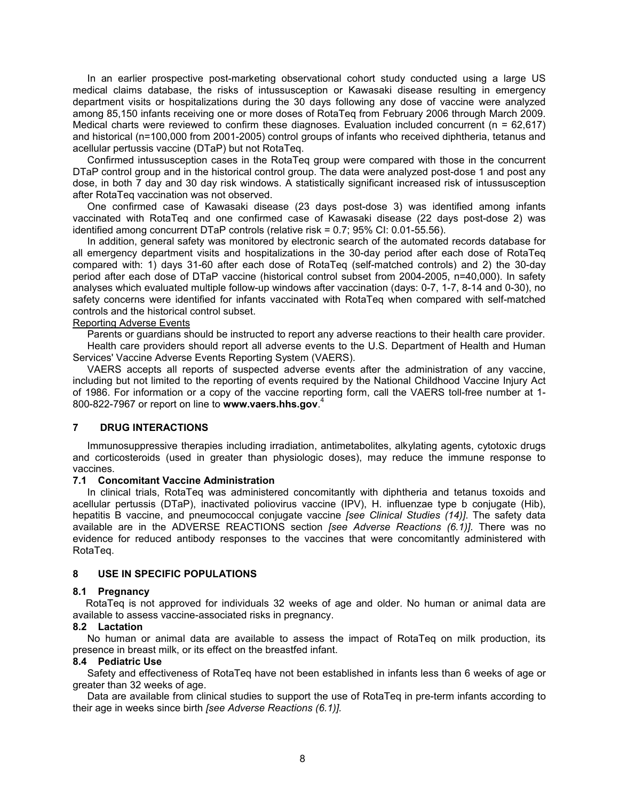In an earlier prospective post-marketing observational cohort study conducted using a large US medical claims database, the risks of intussusception or Kawasaki disease resulting in emergency department visits or hospitalizations during the 30 days following any dose of vaccine were analyzed among 85,150 infants receiving one or more doses of RotaTeq from February 2006 through March 2009. Medical charts were reviewed to confirm these diagnoses. Evaluation included concurrent (n = 62,617) and historical (n=100,000 from 2001-2005) control groups of infants who received diphtheria, tetanus and acellular pertussis vaccine (DTaP) but not RotaTeq.

Confirmed intussusception cases in the RotaTeq group were compared with those in the concurrent DTaP control group and in the historical control group. The data were analyzed post-dose 1 and post any dose, in both 7 day and 30 day risk windows. A statistically significant increased risk of intussusception after RotaTeq vaccination was not observed.

One confirmed case of Kawasaki disease (23 days post-dose 3) was identified among infants vaccinated with RotaTeq and one confirmed case of Kawasaki disease (22 days post-dose 2) was identified among concurrent DTaP controls (relative risk = 0.7; 95% CI: 0.01-55.56).

In addition, general safety was monitored by electronic search of the automated records database for all emergency department visits and hospitalizations in the 30-day period after each dose of RotaTeq compared with: 1) days 31-60 after each dose of RotaTeq (self-matched controls) and 2) the 30-day period after each dose of DTaP vaccine (historical control subset from 2004-2005, n=40,000). In safety analyses which evaluated multiple follow-up windows after vaccination (days: 0-7, 1-7, 8-14 and 0-30), no safety concerns were identified for infants vaccinated with RotaTeq when compared with self-matched controls and the historical control subset.

## Reporting Adverse Events

Parents or guardians should be instructed to report any adverse reactions to their health care provider. Health care providers should report all adverse events to the U.S. Department of Health and Human Services' Vaccine Adverse Events Reporting System (VAERS).

VAERS accepts all reports of suspected adverse events after the administration of any vaccine, including but not limited to the reporting of events required by the National Childhood Vaccine Injury Act of 1986. For information or a copy of the vaccine reporting form, call the VAERS toll-free number at 1- 800-822-7967 or report on line to **www.vaers.hhs.gov**. 4

# **7 DRUG INTERACTIONS**

Immunosuppressive therapies including irradiation, antimetabolites, alkylating agents, cytotoxic drugs and corticosteroids (used in greater than physiologic doses), may reduce the immune response to vaccines.

# **7.1 Concomitant Vaccine Administration**

In clinical trials, RotaTeq was administered concomitantly with diphtheria and tetanus toxoids and acellular pertussis (DTaP), inactivated poliovirus vaccine (IPV), H. influenzae type b conjugate (Hib), hepatitis B vaccine, and pneumococcal conjugate vaccine *[see Clinical Studies (14)]*. The safety data available are in the ADVERSE REACTIONS section *[see Adverse Reactions (6.1)]*. There was no evidence for reduced antibody responses to the vaccines that were concomitantly administered with RotaTeq.

# **8 USE IN SPECIFIC POPULATIONS**

## **8.1 Pregnancy**

RotaTeq is not approved for individuals 32 weeks of age and older. No human or animal data are available to assess vaccine-associated risks in pregnancy.

## **8.2 Lactation**

No human or animal data are available to assess the impact of RotaTeq on milk production, its presence in breast milk, or its effect on the breastfed infant.

# **8.4 Pediatric Use**

Safety and effectiveness of RotaTeq have not been established in infants less than 6 weeks of age or greater than 32 weeks of age.

Data are available from clinical studies to support the use of RotaTeq in pre-term infants according to their age in weeks since birth *[see Adverse Reactions (6.1)].*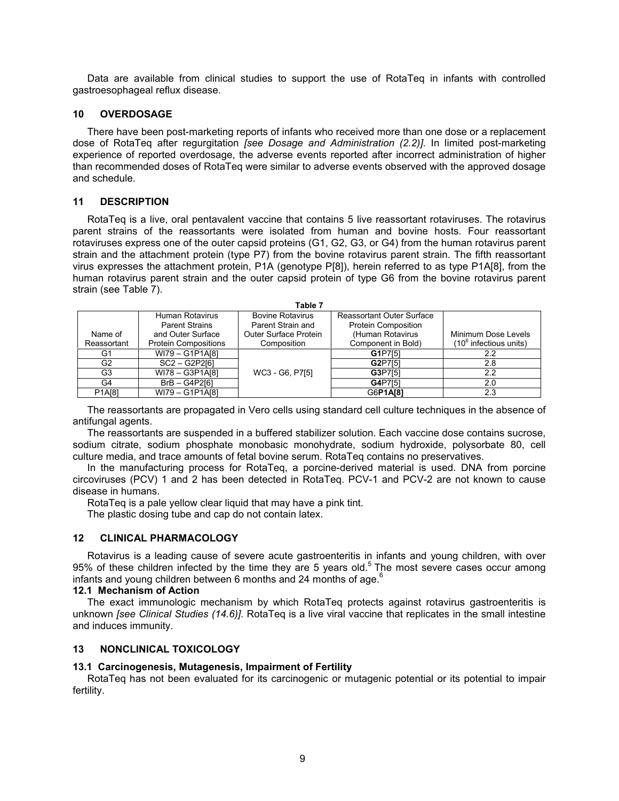Data are available from clinical studies to support the use of RotaTeq in infants with controlled gastroesophageal reflux disease.

# **10 OVERDOSAGE**

There have been post-marketing reports of infants who received more than one dose or a replacement dose of RotaTeq after regurgitation *[see Dosage and Administration (2.2)]*. In limited post-marketing experience of reported overdosage, the adverse events reported after incorrect administration of higher than recommended doses of RotaTeq were similar to adverse events observed with the approved dosage and schedule.

# **11 DESCRIPTION**

RotaTeq is a live, oral pentavalent vaccine that contains 5 live reassortant rotaviruses. The rotavirus parent strains of the reassortants were isolated from human and bovine hosts. Four reassortant rotaviruses express one of the outer capsid proteins (G1, G2, G3, or G4) from the human rotavirus parent strain and the attachment protein (type P7) from the bovine rotavirus parent strain. The fifth reassortant virus expresses the attachment protein, P1A (genotype P[8]), herein referred to as type P1A[8], from the human rotavirus parent strain and the outer capsid protein of type G6 from the bovine rotavirus parent strain (see Table 7).

| Table 7        |                             |                         |                            |                          |  |  |  |
|----------------|-----------------------------|-------------------------|----------------------------|--------------------------|--|--|--|
|                | Human Rotavirus             | <b>Bovine Rotavirus</b> | Reassortant Outer Surface  |                          |  |  |  |
|                | <b>Parent Strains</b>       | Parent Strain and       | <b>Protein Composition</b> |                          |  |  |  |
| Name of        | and Outer Surface           | Outer Surface Protein   | (Human Rotavirus           | Minimum Dose Levels      |  |  |  |
| Reassortant    | <b>Protein Compositions</b> | Composition             | Component in Bold)         | $(106$ infectious units) |  |  |  |
| G1             | WI79 - G1P1A[8]             |                         | G1P7[5]                    | 2.2                      |  |  |  |
| G <sub>2</sub> | $SC2 - G2P2[6]$             |                         | G2P7[5]                    | 2.8                      |  |  |  |
| G <sub>3</sub> | WI78 - G3P1A[8]             | WC3 - G6, P7[5]         | G3P7[5]                    | 2.2                      |  |  |  |
| G4             | $BrB - G4P2[6]$             |                         | G4P7[5]                    | 2.0                      |  |  |  |
| P1A[8]         | WI79 - G1P1A[8]             |                         | G6P1A[8]                   | 2.3                      |  |  |  |

The reassortants are propagated in Vero cells using standard cell culture techniques in the absence of antifungal agents.

The reassortants are suspended in a buffered stabilizer solution. Each vaccine dose contains sucrose, sodium citrate, sodium phosphate monobasic monohydrate, sodium hydroxide, polysorbate 80, cell culture media, and trace amounts of fetal bovine serum. RotaTeq contains no preservatives.

In the manufacturing process for RotaTeq, a porcine-derived material is used. DNA from porcine circoviruses (PCV) 1 and 2 has been detected in RotaTeq. PCV-1 and PCV-2 are not known to cause disease in humans.

RotaTeq is a pale yellow clear liquid that may have a pink tint.

The plastic dosing tube and cap do not contain latex.

# **12 CLINICAL PHARMACOLOGY**

Rotavirus is a leading cause of severe acute gastroenteritis in infants and young children, with over 95% of these children infected by the time they are 5 years old.<sup>5</sup> The most severe cases occur among infants and young children between 6 months and 24 months of age. $6$ 

## **12.1 Mechanism of Action**

The exact immunologic mechanism by which RotaTeq protects against rotavirus gastroenteritis is unknown *[see Clinical Studies (14.6)]*. RotaTeq is a live viral vaccine that replicates in the small intestine and induces immunity.

# **13 NONCLINICAL TOXICOLOGY**

# **13.1 Carcinogenesis, Mutagenesis, Impairment of Fertility**

RotaTeq has not been evaluated for its carcinogenic or mutagenic potential or its potential to impair fertility.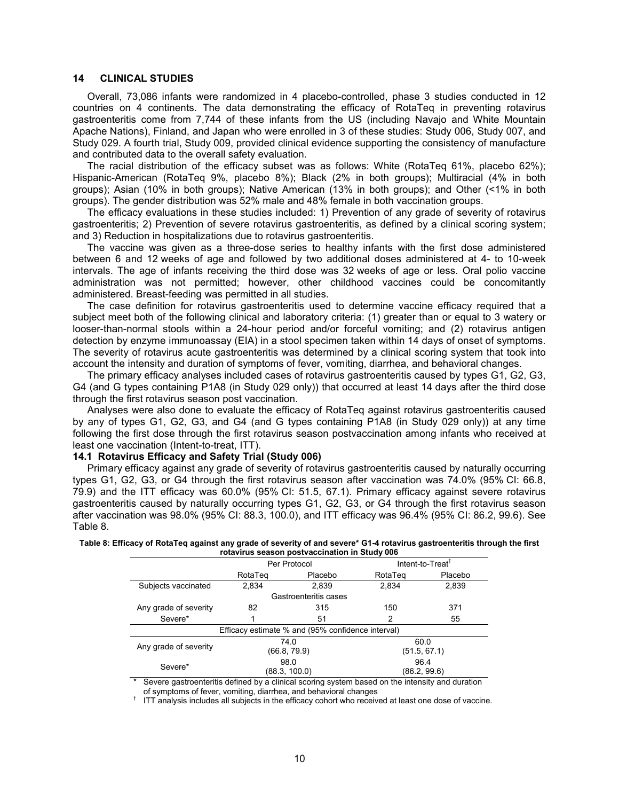#### **14 CLINICAL STUDIES**

Overall, 73,086 infants were randomized in 4 placebo-controlled, phase 3 studies conducted in 12 countries on 4 continents. The data demonstrating the efficacy of RotaTeq in preventing rotavirus gastroenteritis come from 7,744 of these infants from the US (including Navajo and White Mountain Apache Nations), Finland, and Japan who were enrolled in 3 of these studies: Study 006, Study 007, and Study 029. A fourth trial, Study 009, provided clinical evidence supporting the consistency of manufacture and contributed data to the overall safety evaluation.

The racial distribution of the efficacy subset was as follows: White (RotaTeq 61%, placebo 62%); Hispanic-American (RotaTeq 9%, placebo 8%); Black (2% in both groups); Multiracial (4% in both groups); Asian (10% in both groups); Native American (13% in both groups); and Other (<1% in both groups). The gender distribution was 52% male and 48% female in both vaccination groups.

The efficacy evaluations in these studies included: 1) Prevention of any grade of severity of rotavirus gastroenteritis; 2) Prevention of severe rotavirus gastroenteritis, as defined by a clinical scoring system; and 3) Reduction in hospitalizations due to rotavirus gastroenteritis.

The vaccine was given as a three-dose series to healthy infants with the first dose administered between 6 and 12 weeks of age and followed by two additional doses administered at 4- to 10-week intervals. The age of infants receiving the third dose was 32 weeks of age or less. Oral polio vaccine administration was not permitted; however, other childhood vaccines could be concomitantly administered. Breast-feeding was permitted in all studies.

The case definition for rotavirus gastroenteritis used to determine vaccine efficacy required that a subject meet both of the following clinical and laboratory criteria: (1) greater than or equal to 3 watery or looser-than-normal stools within a 24-hour period and/or forceful vomiting; and (2) rotavirus antigen detection by enzyme immunoassay (EIA) in a stool specimen taken within 14 days of onset of symptoms. The severity of rotavirus acute gastroenteritis was determined by a clinical scoring system that took into account the intensity and duration of symptoms of fever, vomiting, diarrhea, and behavioral changes.

The primary efficacy analyses included cases of rotavirus gastroenteritis caused by types G1, G2, G3, G4 (and G types containing P1A8 (in Study 029 only)) that occurred at least 14 days after the third dose through the first rotavirus season post vaccination.

Analyses were also done to evaluate the efficacy of RotaTeq against rotavirus gastroenteritis caused by any of types G1, G2, G3, and G4 (and G types containing P1A8 (in Study 029 only)) at any time following the first dose through the first rotavirus season postvaccination among infants who received at least one vaccination (Intent-to-treat, ITT).

#### **14.1 Rotavirus Efficacy and Safety Trial (Study 006)**

Primary efficacy against any grade of severity of rotavirus gastroenteritis caused by naturally occurring types G1, G2, G3, or G4 through the first rotavirus season after vaccination was 74.0% (95% CI: 66.8, 79.9) and the ITT efficacy was 60.0% (95% CI: 51.5, 67.1). Primary efficacy against severe rotavirus gastroenteritis caused by naturally occurring types G1, G2, G3, or G4 through the first rotavirus season after vaccination was 98.0% (95% CI: 88.3, 100.0), and ITT efficacy was 96.4% (95% CI: 86.2, 99.6). See Table 8.

| Table 8: Efficacy of RotaTeq against any grade of severity of and severe* G1-4 rotavirus gastroenteritis through the first |
|----------------------------------------------------------------------------------------------------------------------------|
| rotavirus season postvaccination in Study 006                                                                              |

|                       |                    | TUMVITUS SUUSUIT PUSLITUUSITIOITIIT OLUU I VUO    |              |                              |  |
|-----------------------|--------------------|---------------------------------------------------|--------------|------------------------------|--|
|                       |                    | Per Protocol                                      |              | Intent-to-Treat <sup>†</sup> |  |
|                       | RotaTeg<br>Placebo |                                                   | RotaTeg      | Placebo                      |  |
| Subjects vaccinated   | 2.834              | 2.839                                             | 2.834        | 2,839                        |  |
|                       |                    | Gastroenteritis cases                             |              |                              |  |
| Any grade of severity | 82                 | 315                                               | 150          | 371                          |  |
| Severe*               |                    | 51                                                | 2            | 55                           |  |
|                       |                    | Efficacy estimate % and (95% confidence interval) |              |                              |  |
| Any grade of severity | 74.0               |                                                   | 60.0         |                              |  |
|                       | (66.8, 79.9)       |                                                   | (51.5, 67.1) |                              |  |
| Severe*               | 98.0               |                                                   | 96.4         |                              |  |
|                       |                    | (88.3, 100.0)                                     | (86.2, 99.6) |                              |  |

\* Severe gastroenteritis defined by a clinical scoring system based on the intensity and duration

of symptoms of fever, vomiting, diarrhea, and behavioral changes

<sup>†</sup> ITT analysis includes all subjects in the efficacy cohort who received at least one dose of vaccine.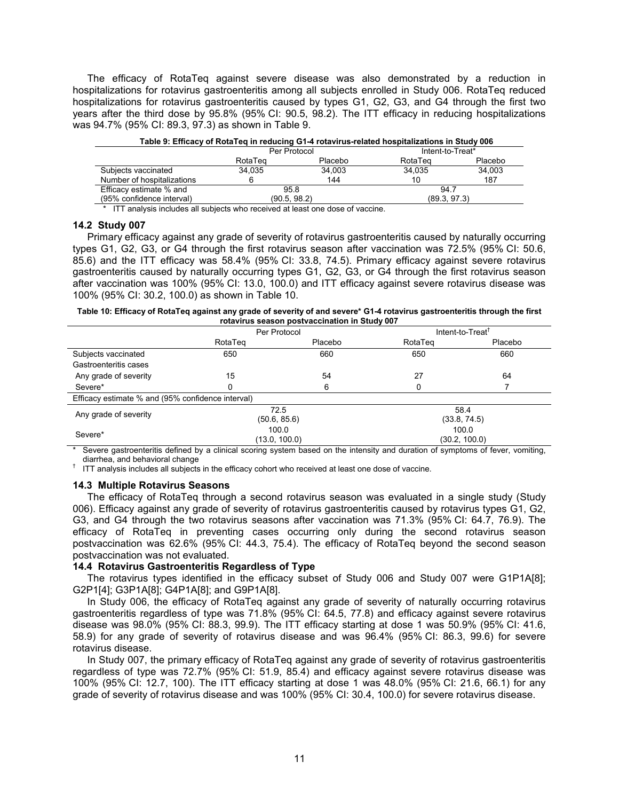The efficacy of RotaTeq against severe disease was also demonstrated by a reduction in hospitalizations for rotavirus gastroenteritis among all subjects enrolled in Study 006. RotaTeq reduced hospitalizations for rotavirus gastroenteritis caused by types G1, G2, G3, and G4 through the first two years after the third dose by 95.8% (95% CI: 90.5, 98.2). The ITT efficacy in reducing hospitalizations was 94.7% (95% CI: 89.3, 97.3) as shown in Table 9.

| Table 9: Efficacy of RotaTeg in reducing G1-4 rotavirus-related hospitalizations in Study 006 |              |         |                  |         |  |
|-----------------------------------------------------------------------------------------------|--------------|---------|------------------|---------|--|
|                                                                                               | Per Protocol |         | Intent-to-Treat* |         |  |
|                                                                                               | RotaTeg      | Placebo | RotaTeg          | Placebo |  |
| Subjects vaccinated                                                                           | 34.035       | 34.003  | 34.035           | 34.003  |  |
| Number of hospitalizations                                                                    |              | 144     | 10               | 187     |  |
| Efficacy estimate % and                                                                       | 95.8         |         | 94.7             |         |  |
| (95% confidence interval)                                                                     | (90.5, 98.2) |         | (89.3, 97.3)     |         |  |

\* ITT analysis includes all subjects who received at least one dose of vaccine.

#### **14.2 Study 007**

Primary efficacy against any grade of severity of rotavirus gastroenteritis caused by naturally occurring types G1, G2, G3, or G4 through the first rotavirus season after vaccination was 72.5% (95% CI: 50.6, 85.6) and the ITT efficacy was 58.4% (95% CI: 33.8, 74.5). Primary efficacy against severe rotavirus gastroenteritis caused by naturally occurring types G1, G2, G3, or G4 through the first rotavirus season after vaccination was 100% (95% CI: 13.0, 100.0) and ITT efficacy against severe rotavirus disease was 100% (95% CI: 30.2, 100.0) as shown in Table 10.

**Table 10: Efficacy of RotaTeq against any grade of severity of and severe\* G1-4 rotavirus gastroenteritis through the first rotavirus season postvaccination in Study 007**

|                                                   | Per Protocol |               | Intent-to-Treat <sup>T</sup> |         |  |
|---------------------------------------------------|--------------|---------------|------------------------------|---------|--|
|                                                   | RotaTeg      | Placebo       | RotaTeg                      | Placebo |  |
| Subjects vaccinated                               | 650          | 660           | 650                          | 660     |  |
| Gastroenteritis cases                             |              |               |                              |         |  |
| Any grade of severity                             | 15           | 54            | 27                           | 64      |  |
| Severe*                                           | 0            | 6             | 0                            |         |  |
| Efficacy estimate % and (95% confidence interval) |              |               |                              |         |  |
| Any grade of severity                             | 72.5         |               | 58.4                         |         |  |
|                                                   | (50.6, 85.6) |               | (33.8, 74.5)                 |         |  |
| Severe*                                           | 100.0        |               | 100.0                        |         |  |
| $\sim$ $\sim$<br>.<br>$\cdot$ .                   | .            | (13.0, 100.0) | (30.2, 100.0)                |         |  |

\* Severe gastroenteritis defined by a clinical scoring system based on the intensity and duration of symptoms of fever, vomiting, diarrhea, and behavioral change

<sup>†</sup> ITT analysis includes all subjects in the efficacy cohort who received at least one dose of vaccine.

#### **14.3 Multiple Rotavirus Seasons**

The efficacy of RotaTeq through a second rotavirus season was evaluated in a single study (Study 006). Efficacy against any grade of severity of rotavirus gastroenteritis caused by rotavirus types G1, G2, G3, and G4 through the two rotavirus seasons after vaccination was 71.3% (95% CI: 64.7, 76.9). The efficacy of RotaTeq in preventing cases occurring only during the second rotavirus season postvaccination was 62.6% (95% CI: 44.3, 75.4). The efficacy of RotaTeq beyond the second season postvaccination was not evaluated.

#### **14.4 Rotavirus Gastroenteritis Regardless of Type**

The rotavirus types identified in the efficacy subset of Study 006 and Study 007 were G1P1A[8]; G2P1[4]; G3P1A[8]; G4P1A[8]; and G9P1A[8].

In Study 006, the efficacy of RotaTeq against any grade of severity of naturally occurring rotavirus gastroenteritis regardless of type was 71.8% (95% CI: 64.5, 77.8) and efficacy against severe rotavirus disease was 98.0% (95% CI: 88.3, 99.9). The ITT efficacy starting at dose 1 was 50.9% (95% CI: 41.6, 58.9) for any grade of severity of rotavirus disease and was 96.4% (95% CI: 86.3, 99.6) for severe rotavirus disease.

In Study 007, the primary efficacy of RotaTeq against any grade of severity of rotavirus gastroenteritis regardless of type was 72.7% (95% CI: 51.9, 85.4) and efficacy against severe rotavirus disease was 100% (95% CI: 12.7, 100). The ITT efficacy starting at dose 1 was 48.0% (95% CI: 21.6, 66.1) for any grade of severity of rotavirus disease and was 100% (95% CI: 30.4, 100.0) for severe rotavirus disease.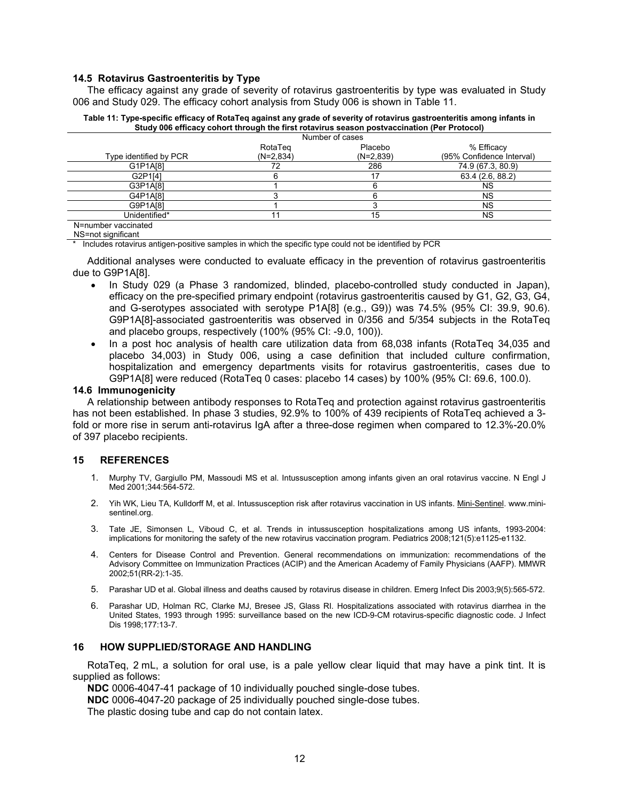### **14.5 Rotavirus Gastroenteritis by Type**

The efficacy against any grade of severity of rotavirus gastroenteritis by type was evaluated in Study 006 and Study 029. The efficacy cohort analysis from Study 006 is shown in Table 11.

|                        | Number of cases        |                        |                                         |
|------------------------|------------------------|------------------------|-----------------------------------------|
| Type identified by PCR | RotaTeg<br>$(N=2,834)$ | Placebo<br>$(N=2,839)$ | % Efficacy<br>(95% Confidence Interval) |
| G1P1A[8]               |                        | 286                    | 74.9 (67.3, 80.9)                       |
| G2P1[4]                |                        | 17                     | 63.4 (2.6, 88.2)                        |
| G3P1A[8]               |                        |                        | NS                                      |
| G4P1A[8]               |                        |                        | NS                                      |
| G9P1A[8]               |                        |                        | NS                                      |
| Unidentified*          |                        | 15                     | <b>NS</b>                               |
| N=number vaccinated    |                        |                        |                                         |

**Table 11: Type-specific efficacy of RotaTeq against any grade of severity of rotavirus gastroenteritis among infants in Study 006 efficacy cohort through the first rotavirus season postvaccination (Per Protocol)**

NS=not significant

Includes rotavirus antigen-positive samples in which the specific type could not be identified by PCR

Additional analyses were conducted to evaluate efficacy in the prevention of rotavirus gastroenteritis due to G9P1A[8].

- In Study 029 (a Phase 3 randomized, blinded, placebo-controlled study conducted in Japan), efficacy on the pre-specified primary endpoint (rotavirus gastroenteritis caused by G1, G2, G3, G4, and G-serotypes associated with serotype P1A[8] (e.g., G9)) was 74.5% (95% CI: 39.9, 90.6). G9P1A[8]-associated gastroenteritis was observed in 0/356 and 5/354 subjects in the RotaTeq and placebo groups, respectively (100% (95% CI: -9.0, 100)).
- In a post hoc analysis of health care utilization data from 68,038 infants (RotaTeq 34,035 and placebo 34,003) in Study 006, using a case definition that included culture confirmation, hospitalization and emergency departments visits for rotavirus gastroenteritis, cases due to G9P1A[8] were reduced (RotaTeq 0 cases: placebo 14 cases) by 100% (95% CI: 69.6, 100.0).

#### **14.6 Immunogenicity**

A relationship between antibody responses to RotaTeq and protection against rotavirus gastroenteritis has not been established. In phase 3 studies, 92.9% to 100% of 439 recipients of RotaTeq achieved a 3fold or more rise in serum anti-rotavirus IgA after a three-dose regimen when compared to 12.3%-20.0% of 397 placebo recipients.

#### **15 REFERENCES**

- 1. Murphy TV, Gargiullo PM, Massoudi MS et al. Intussusception among infants given an oral rotavirus vaccine. N Engl J Med 2001;344:564-572.
- 2. Yih WK, Lieu TA, Kulldorff M, et al. Intussusception risk after rotavirus vaccination in US infants. Mini-Sentinel. www.minisentinel.org.
- 3. Tate JE, Simonsen L, Viboud C, et al. Trends in intussusception hospitalizations among US infants, 1993-2004: implications for monitoring the safety of the new rotavirus vaccination program. Pediatrics 2008;121(5):e1125-e1132.
- 4. Centers for Disease Control and Prevention. General recommendations on immunization: recommendations of the Advisory Committee on Immunization Practices (ACIP) and the American Academy of Family Physicians (AAFP). MMWR 2002;51(RR-2):1-35.
- 5. Parashar UD et al. Global illness and deaths caused by rotavirus disease in children. Emerg Infect Dis 2003;9(5):565-572.
- 6. Parashar UD, Holman RC, Clarke MJ, Bresee JS, Glass RI. Hospitalizations associated with rotavirus diarrhea in the United States, 1993 through 1995: surveillance based on the new ICD-9-CM rotavirus-specific diagnostic code. J Infect Dis 1998;177:13-7.

#### **16 HOW SUPPLIED/STORAGE AND HANDLING**

RotaTeq, 2 mL, a solution for oral use, is a pale yellow clear liquid that may have a pink tint. It is supplied as follows:

**NDC** 0006-4047-41 package of 10 individually pouched single-dose tubes.

**NDC** 0006-4047-20 package of 25 individually pouched single-dose tubes.

The plastic dosing tube and cap do not contain latex.